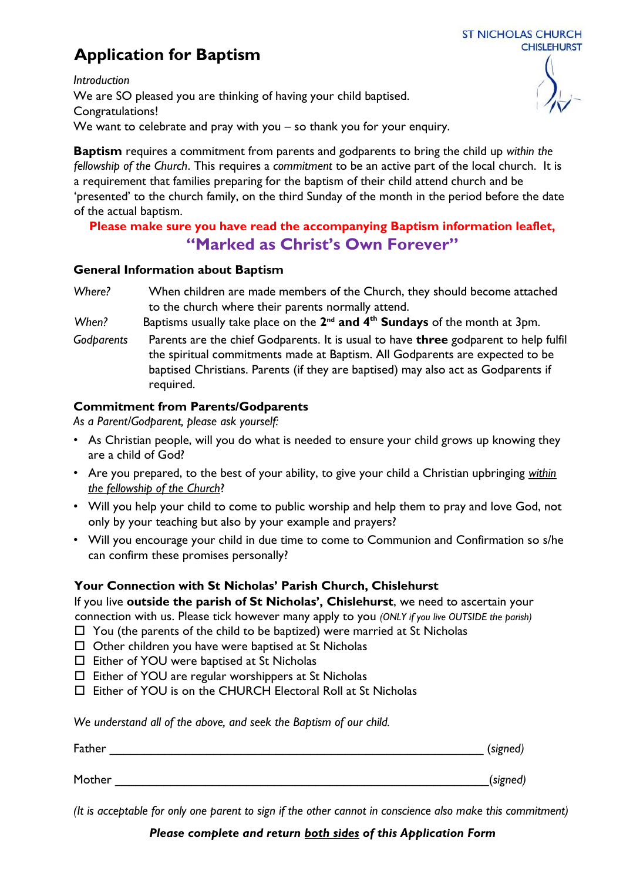# **Application for Baptism**



*Introduction*  We are SO pleased you are thinking of having your child baptised. Congratulations! We want to celebrate and pray with you – so thank you for your enquiry.

**Baptism** requires a commitment from parents and godparents to bring the child up *within the fellowship of the Church*. This requires a *commitment* to be an active part of the local church. It is a requirement that families preparing for the baptism of their child attend church and be 'presented' to the church family, on the third Sunday of the month in the period before the date of the actual baptism.

# **Please make sure you have read the accompanying Baptism information leaflet, "Marked as Christ's Own Forever"**

#### **General Information about Baptism**

- *Where?* When children are made members of the Church, they should become attached to the church where their parents normally attend.
- When? Baptisms usually take place on the 2<sup>nd</sup> and 4<sup>th</sup> Sundays of the month at 3pm.
- *Godparents* Parents are the chief Godparents. It is usual to have **three** godparent to help fulfil the spiritual commitments made at Baptism. All Godparents are expected to be baptised Christians. Parents (if they are baptised) may also act as Godparents if required.

## **Commitment from Parents/Godparents**

*As a Parent/Godparent, please ask yourself:* 

- As Christian people, will you do what is needed to ensure your child grows up knowing they are a child of God?
- Are you prepared, to the best of your ability, to give your child a Christian upbringing *within the fellowship of the Church*?
- Will you help your child to come to public worship and help them to pray and love God, not only by your teaching but also by your example and prayers?
- Will you encourage your child in due time to come to Communion and Confirmation so s/he can confirm these promises personally?

## **Your Connection with St Nicholas' Parish Church, Chislehurst**

If you live **outside the parish of St Nicholas', Chislehurst**, we need to ascertain your connection with us. Please tick however many apply to you *(ONLY if you live OUTSIDE the parish)*

- $\Box$  You (the parents of the child to be baptized) were married at St Nicholas
- $\Box$  Other children you have were baptised at St Nicholas
- Either of YOU were baptised at St Nicholas
- $\Box$  Either of YOU are regular worshippers at St Nicholas
- □ Either of YOU is on the CHURCH Electoral Roll at St Nicholas

*We understand all of the above, and seek the Baptism of our child.* 

| Father | (signed) |
|--------|----------|
|        |          |
| Mother | (signed) |

*(It is acceptable for only one parent to sign if the other cannot in conscience also make this commitment)*

*Please complete and return both sides of this Application Form*